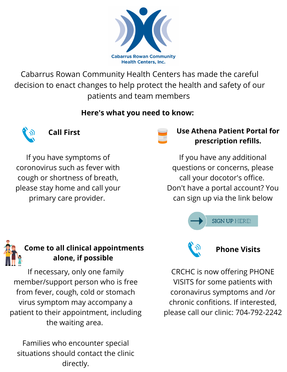

Cabarrus Rowan Community Health Centers has made the careful decision to enact changes to help protect the health and safety of our patients and team members

#### **Here's what you need to know:**



#### **Call First**

If you have symptoms of coronovirus such as fever with cough or shortness of breath, please stay home and call your primary care provider.



#### **Use Athena Patient Portal for prescription refills.**

If you have any additional questions or concerns, please call your docotor's office. Don't have a portal account? You can sign up via the link below





# **Come to all clinical appointments alone, if possible**

If necessary, only one family member/support person who is free from fever, cough, cold or stomach virus symptom may accompany a patient to their appointment, including the waiting area.

Families who encounter special situations should contact the clinic directly.



**Phone Visits**

CRCHC is now offering PHONE VISITS for some patients with coronavirus symptoms and /or chronic confitions. If interested, please call our clinic: 704-792-2242